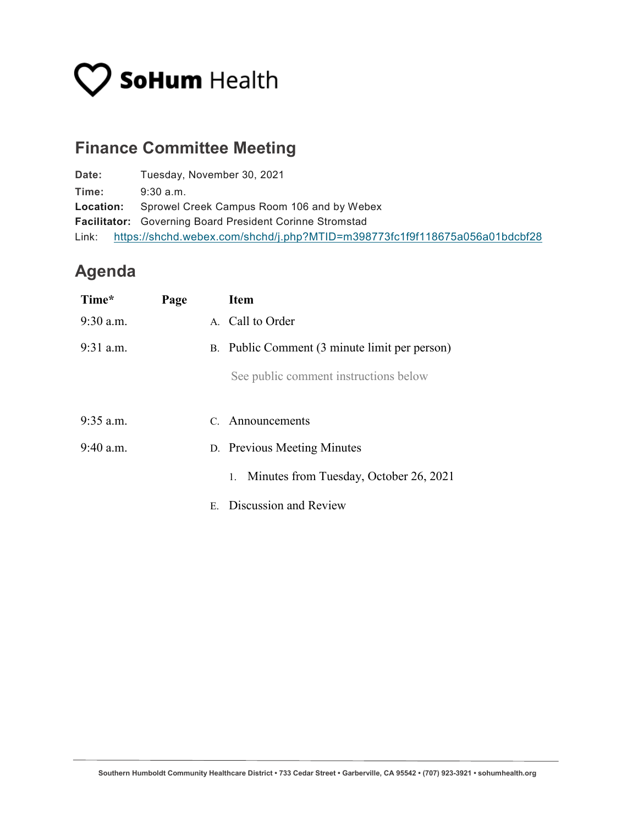

## **Finance Committee Meeting**

**Date:** Tuesday, November 30, 2021 **Time:** 9:30 a.m. **Location:** Sprowel Creek Campus Room 106 and by Webex **Facilitator:** Governing Board President Corinne Stromstad Link: <https://shchd.webex.com/shchd/j.php?MTID=m398773fc1f9f118675a056a01bdcbf28>

## **Agenda**

| Time*       | Page | <b>Item</b>                                   |
|-------------|------|-----------------------------------------------|
| $9:30$ a.m. |      | A. Call to Order                              |
| $9:31$ a.m. |      | B. Public Comment (3 minute limit per person) |
|             |      | See public comment instructions below         |
| $9:35$ a.m. |      | C. Announcements                              |
| $9:40$ a.m. |      | D. Previous Meeting Minutes                   |
|             |      | 1. Minutes from Tuesday, October 26, 2021     |
|             |      | E. Discussion and Review                      |